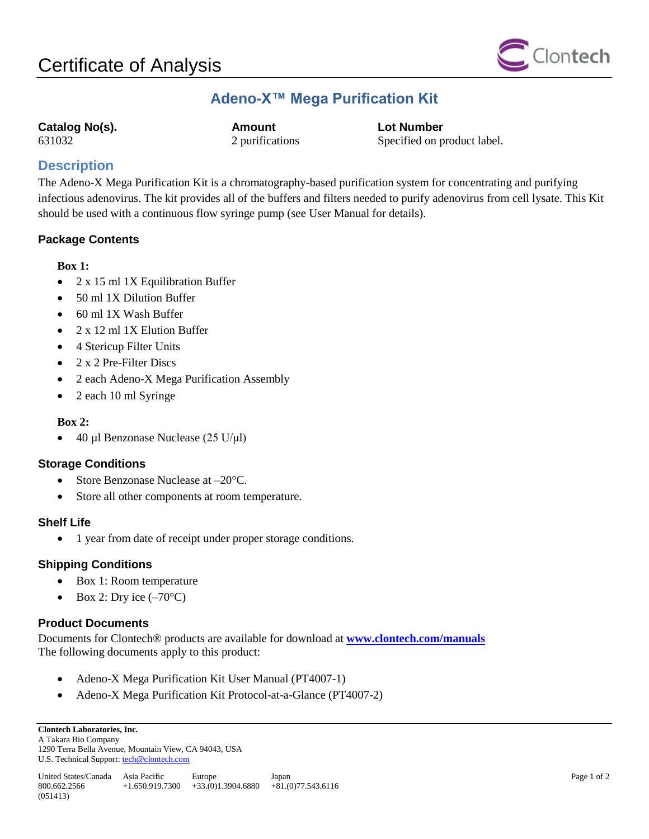

## **Adeno-X™ Mega Purification Kit**

**Catalog No(s). Amount Lot Number**

631032 2 purifications Specified on product label.

### **Description**

The Adeno-X Mega Purification Kit is a chromatography-based purification system for concentrating and purifying infectious adenovirus. The kit provides all of the buffers and filters needed to purify adenovirus from cell lysate. This Kit should be used with a continuous flow syringe pump (see User Manual for details).

#### **Package Contents**

#### **Box 1:**

- 2 x 15 ml 1X Equilibration Buffer
- 50 ml 1X Dilution Buffer
- 60 ml 1X Wash Buffer
- 2 x 12 ml 1X Elution Buffer
- 4 Stericup Filter Units
- $2 \times 2$  Pre-Filter Discs
- 2 each Adeno-X Mega Purification Assembly
- 2 each 10 ml Syringe

#### **Box 2:**

• 40 µl Benzonase Nuclease (25 U/µl)

#### **Storage Conditions**

- Store Benzonase Nuclease at  $-20^{\circ}$ C.
- Store all other components at room temperature.

#### **Shelf Life**

• 1 year from date of receipt under proper storage conditions.

#### **Shipping Conditions**

- Box 1: Room temperature
- Box 2: Dry ice  $(-70^{\circ}C)$

#### **Product Documents**

Documents for Clontech® products are available for download at **[www.clontech.com/manuals](http://www.clontech.com/manuals)** The following documents apply to this product:

- Adeno-X Mega Purification Kit User Manual (PT4007-1)
- Adeno-X Mega Purification Kit Protocol-at-a-Glance (PT4007-2)

A Takara Bio Company 1290 Terra Bella Avenue, Mountain View, CA 94043, USA U.S. Technical Support: tech@clontech.com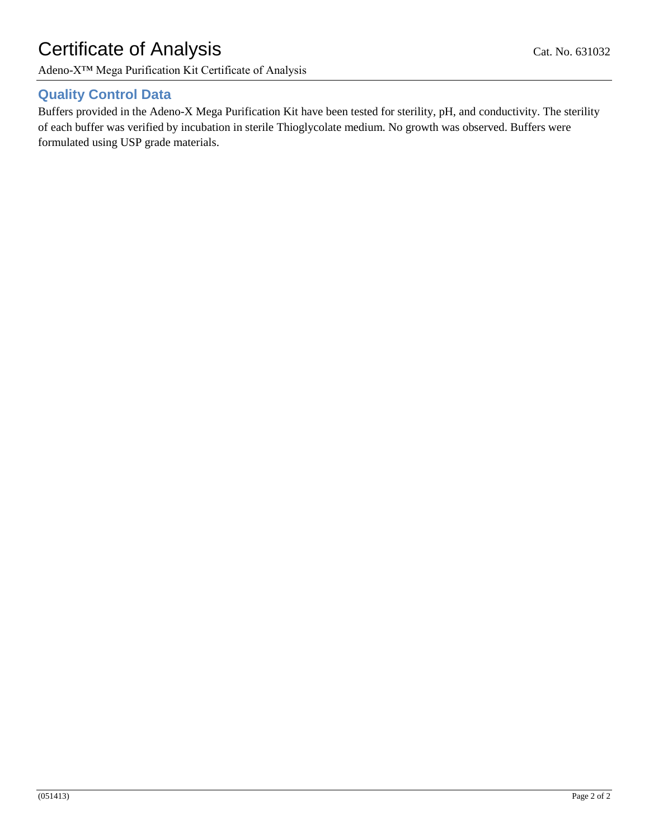# Certificate of Analysis Cat. No. 631032

Adeno-X™ Mega Purification Kit Certificate of Analysis

## **Quality Control Data**

Buffers provided in the Adeno-X Mega Purification Kit have been tested for sterility, pH, and conductivity. The sterility of each buffer was verified by incubation in sterile Thioglycolate medium. No growth was observed. Buffers were formulated using USP grade materials.